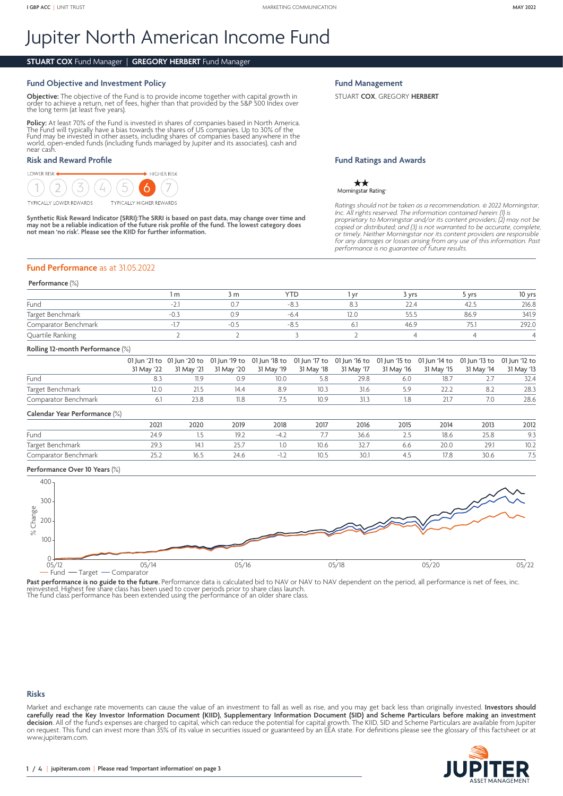# Jupiter North American Income Fund

## **STUART COX** Fund Manager | **GREGORY HERBERT** Fund Manager

## **Fund Objective and Investment Policy**

**Objective:** The objective of the Fund is to provide income together with capital growth in<br>order to achieve a return, net of fees, higher than that provided by the S&P 500 Index over<br>the long term (at least five years).

**Policy:** At least 70% of the Fund is invested in shares of companies based in North America.<br>The Fund will typically have a bias towards the shares of US companies. Up to 30% of the<br>Fund may be invested in other assets, i near cash.

## **Risk and Reward Profile**

#### LOWER RISK  $\blacktriangleright$  Higher Risk  $\mathcal{D}$ **TYPICALLY LOWER REWARDS TYPICALLY HIGHER REWARDS**

**Synthetic Risk Reward Indicator (SRRI):The SRRI is based on past data, may change over time and may not be a reliable indication of the future risk profile of the fund. The lowest category does not mean 'no risk'. Please see the KIID for further information.**

#### **Fund Management**

STUART **COX**, GREGORY **HERBERT**

## **Fund Ratings and Awards**

 $\star\star$ Morningstar Rating

*Ratings should not be taken as a recommendation.* © *2022 Morningstar, Inc. All rights reserved. The information contained herein: (1) is*  proprietary to Morningstar and/or its content providers; (2) may not be<br>copied or distributed; and (3) is not warranted to be accurate, complete,<br>or timely. Neither Morningstar nor its content providers are responsible<br>for

## **Fund Performance** as at 31.05.2022

#### **Performance** (%)

|                      | , m | 3 m    | YTD    | 3 vrs          | 5 vrs | 10 yrs |
|----------------------|-----|--------|--------|----------------|-------|--------|
| Fund                 |     |        | -ŏ.,   | $\sim$<br>22.4 | 42.J  | 216.8  |
| Target Benchmark     |     | Э.S    | $-6.4$ | 55.:           | 86.9  | 341.9  |
| Comparator Benchmark |     | $-0.5$ |        | 46.9           |       | 292.0  |
| Quartile Ranking     |     |        |        |                |       |        |

#### **Rolling 12-month Performance** (%)

|                      |            | 01 Jun '21 to 01 Jun '20 to 01 Jun '19 to 01 Jun '18 to 01 Jun '17 to 01 Jun '16 to 01 Jun '15 to 01 Jun '14 to 01 Jun '13 to 01 Jun '12 to |      |      |      |            |            |            |            |            |
|----------------------|------------|---------------------------------------------------------------------------------------------------------------------------------------------|------|------|------|------------|------------|------------|------------|------------|
|                      | 31 May '22 |                                                                                                                                             |      |      |      | 31 May '17 | 31 May '16 | 31 May '15 | 31 May '14 | 31 May '13 |
| Fund                 |            |                                                                                                                                             |      | 10.0 |      | 29.8       |            | 18.7       |            | 32.4       |
| Target Benchmark     | 2.0        |                                                                                                                                             | 14.4 | 89   |      | 31.6       |            |            |            | 28.3       |
| Comparator Benchmark |            | 23.8                                                                                                                                        | 11.8 |      | 10.9 | 313        | .8         | ว1 ว       | 7.0        | 28.6       |

#### **Calendar Year Performance** (%)

|                      | 2021          | 2020        | 2019  | 2018                     | 2017  | 2016 | 2015 | 2014 | 2013 | 2012      |
|----------------------|---------------|-------------|-------|--------------------------|-------|------|------|------|------|-----------|
| Fund                 | $\sim$ $\sim$ |             | 19.2  | $-4.4$                   | , , , | 36.6 | ت ک  | 18.6 | 25.8 | 9.3       |
| Target Benchmark     | $\sim$ $\sim$ | $1 - 1 - 1$ | ، ب ک |                          | 10.6  | SZ.  | 0.0  | 20.0 | 29.1 | 10.2      |
| Comparator Benchmark | ے، ب          | 10.J        | 24.6  | $\overline{\phantom{a}}$ | IV.5  | 30.1 |      | 1/3  | 30.6 | フロ<br>ر ، |

## **Performance Over 10 Years** (%)



Past performance is no guide to the future. Performance data is calculated bid to NAV or NAV to NAV dependent on the period, all performance is net of fees, inc.<br>reinvested. Highest fee share class has been used to cover p

The fund class performance has been extended using the performance of an older share class.

#### **Risks**

Market and exchange rate movements can cause the value of an investment to fall as well as rise, and you may get back less than originally invested. **Investors should carefully read the Key Investor Information Document (KIID), Supplementary Information Document (SID) and Scheme Particulars before making an investment decision**. All of the fund's expenses are charged to capital, which can reduce the potential for capital growth. The KIID, SID and Scheme Particulars are available from Jupiter on request. This fund can invest more than 35% of its value in securities issued or guaranteed by an EEA state. For definitions please see the glossary of this factsheet or at [www.jupiteram.com.](www.jupiteram.com)

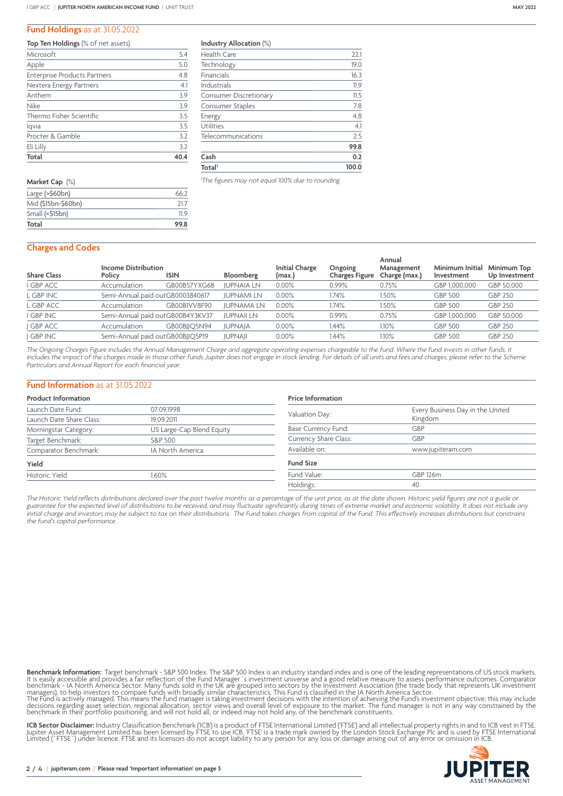## **Fund Holdings** as at 31.05.2022

|  | Top Ten Holdings (% of net assets) |
|--|------------------------------------|
|--|------------------------------------|

| Total                               | 40.4 |
|-------------------------------------|------|
| Eli Lilly                           | 3.2  |
| Procter & Gamble                    | 3.2  |
| lqvia                               | 3.5  |
| Thermo Fisher Scientific            | 3.5  |
| <b>Nike</b>                         | 3.9  |
| Anthem                              | 3.9  |
| Nextera Energy Partners             | 4.1  |
| <b>Enterprise Products Partners</b> | 4.8  |
| Apple                               | 5.0  |
| Microsoft                           | 5.4  |

| Market Cap (%)        |      |
|-----------------------|------|
| Large $($ >\$60 $bn)$ | 66 2 |
| Mid (\$15bn-\$60bn)   | 217  |
| Small $(\leq 515bn)$  | 11 9 |
| Total                 | 99.8 |

**Industry Allocation** (%)

| Total <sup>1</sup>            | 100.0 |
|-------------------------------|-------|
| Cash                          | 0.2   |
|                               | 99.8  |
| Telecommunications            | 2.5   |
| Utilities                     | 4.1   |
| Energy                        | 4.8   |
| Consumer Staples              | 7.8   |
| <b>Consumer Discretionary</b> | 11.5  |
| Industrials                   | 11.9  |
| Financials                    | 16.3  |
| Technology                    | 19.0  |
| Health Care                   | 22.1  |

*1 The figures may not equal 100% due to rounding.*

## **Charges and Codes**

| <b>Share Class</b> | <b>Income Distribution</b><br>Policy | <b>ISIN</b>                      | Bloomberg         | <b>Initial Charge</b><br>(max.) | Ongoing<br>Charges Figure | Annual<br>Management<br>Charge (max.) | Minimum Initial<br>Investment | Minimum Top<br>Up Investment |
|--------------------|--------------------------------------|----------------------------------|-------------------|---------------------------------|---------------------------|---------------------------------------|-------------------------------|------------------------------|
| <b>GBP ACC</b>     | Accumulation                         | GB00B57YXG68                     | <b>JUPNAIA LN</b> | $0.00\%$                        | 0.99%                     | 0.75%                                 | GBP 1.000.000                 | GBP 50.000                   |
| L GBP INC          |                                      | Semi-Annual paid outGB0003840617 | <b>JUPNAMI LN</b> | $0.00\%$                        | .74%                      | 1.50%                                 | <b>GBP 500</b>                | <b>GBP 250</b>               |
| L GBP ACC          | Accumulation                         | GB00BIVV8F90                     | <b>JUPNAMA LN</b> | $0.00\%$                        | 1.74%                     | 1.50%                                 | <b>GBP 500</b>                | <b>GBP 250</b>               |
| <b>GBP INC</b>     |                                      | Semi-Annual paid outGB00B4Y3KV37 | <b>JUPNAII LN</b> | 0.00%                           | 0.99%                     | 0.75%                                 | GBP 1,000,000                 | GBP 50,000                   |
| <b>GBP ACC</b>     | Accumulation                         | GB00BIIO5N94                     | <b>JUPNAJA</b>    | $0.00\%$                        | 1.44%                     | $1.10\%$                              | <b>GBP 500</b>                | GBP 250                      |
| <b>GBP INC</b>     |                                      | Semi-Annual paid outGB00BJJQ5P19 | <b>JUPNAJI</b>    | $0.00\%$                        | l.44%                     | 1.10%                                 | <b>GBP 500</b>                | <b>GBP 250</b>               |
|                    |                                      |                                  |                   |                                 |                           |                                       |                               |                              |

*The Ongoing Charges Figure includes the Annual Management Charge and aggregate operating expenses chargeable to the fund. Where the fund invests in other funds, it includes the impact of the charges made in those other funds. Jupiter does not engage in stock lending. For details of all units and fees and charges, please refer to the Scheme Particulars and Annual Report for each financial year.*

### **Fund Information** as at 31.05.2022

| <b>Product Information</b>                    |                           | <b>Price Information</b> |                                             |  |  |
|-----------------------------------------------|---------------------------|--------------------------|---------------------------------------------|--|--|
| Launch Date Fund:<br>Launch Date Share Class: | 07.09.1998<br>19.09.2011  | Valuation Day:           | Every Business Day in the United<br>Kingdom |  |  |
| Morningstar Category:                         | US Large-Cap Blend Equity | Base Currency Fund:      | GBP                                         |  |  |
| Target Benchmark:                             | S&P 500                   | Currency Share Class:    | GBP                                         |  |  |
| Comparator Benchmark:                         | IA North America          | Available on:            | www.jupiteram.com                           |  |  |
| Yield                                         |                           | <b>Fund Size</b>         |                                             |  |  |
| Historic Yield                                | 1.60%                     | Fund Value:              | GBP 126m                                    |  |  |
|                                               |                           | Holdings:                | 40                                          |  |  |

*The Historic Yield reflects distributions declared over the past twelve months as a percentage of the unit price, as at the date shown. Historic yield figures are not a guide or guarantee for the expected level of distributions to be received, and may fluctuate significantly during times of extreme market and economic volatility. It does not include any initial charge and investors may be subject to tax on their distributions. The Fund takes charges from capital of the Fund. This effectively increases distributions but constrains the fund's capital performance.*

**Benchmark Information:** Target benchmark - S&P 500 Index. The S&P 500 Index is an industry standard index and is one of the leading representations of US stock markets.<br>It is easily accessible and provides a fair reflecti The Fund is actively managed. This means the fund manager is taking investment decisions with the intention of achieving the Fund's investment objective; this may include<br>decisions regarding asset selection, regional alloc

**ICB Sector Disclaimer:** Industry Classification Benchmark ('ICB') is a product of FTSE International Limited ('FTSE') and all intellectual property rights in and to ICB vest in FTSE.<br>Jupiter Asset Management Limited has b

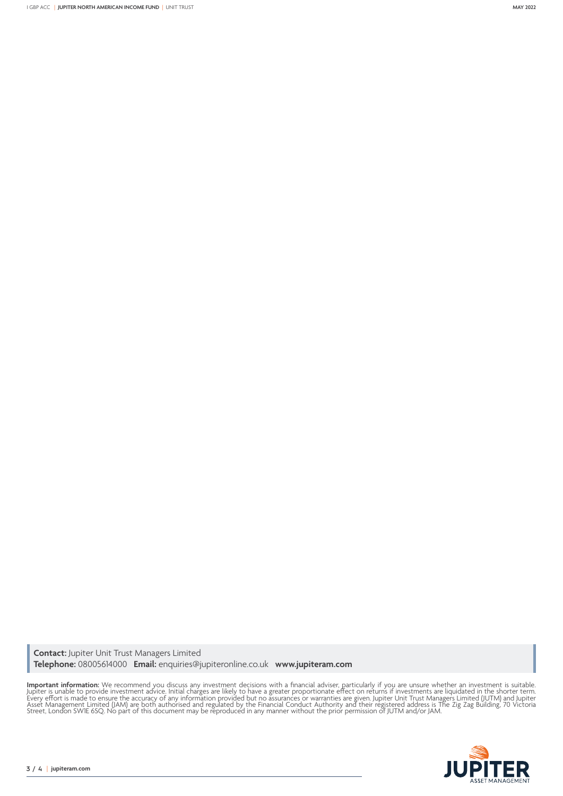**Contact:** Jupiter Unit Trust Managers Limited **Telephone:** 08005614000 **Email:** enquiries@jupiteronline.co.uk **www.jupiteram.com**

**Important information:** We recommend you discuss any investment decisions with a financial adviser, particularly if you are unsure whether an investment is suitable.<br>Jupiter is unable to provide investment advice. Initial